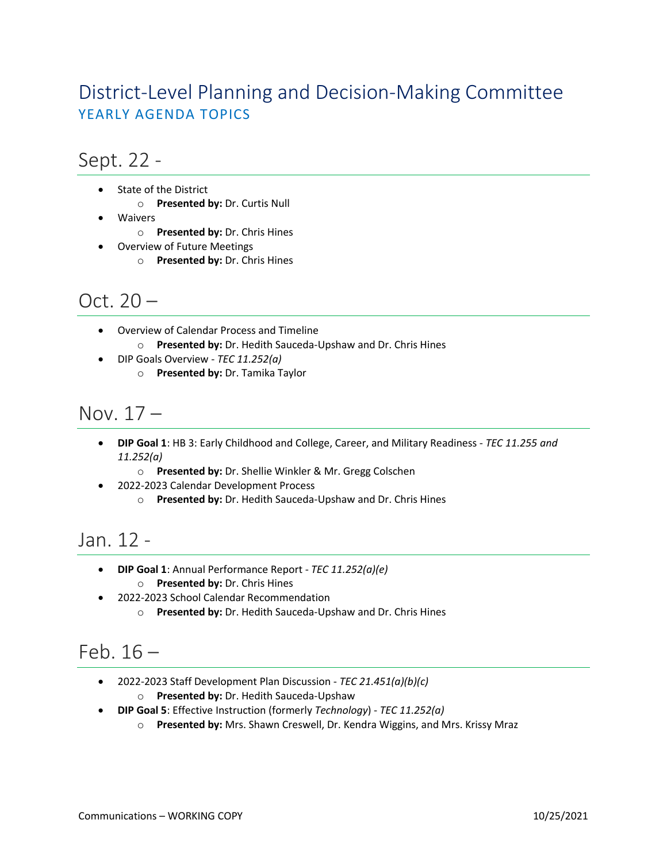## District-Level Planning and Decision-Making Committee YEARLY AGENDA TOPICS

#### Sept. 22 -

- State of the District
	- o **Presented by:** Dr. Curtis Null
- Waivers
	- o **Presented by:** Dr. Chris Hines
	- Overview of Future Meetings
		- o **Presented by:** Dr. Chris Hines

## Oct.  $20 -$

- Overview of Calendar Process and Timeline
	- o **Presented by:** Dr. Hedith Sauceda-Upshaw and Dr. Chris Hines
- DIP Goals Overview *TEC 11.252(a)*
	- o **Presented by:** Dr. Tamika Taylor

## Nov. 17 –

- **DIP Goal 1**: HB 3: Early Childhood and College, Career, and Military Readiness *TEC 11.255 and 11.252(a)*
	- o **Presented by:** Dr. Shellie Winkler & Mr. Gregg Colschen
- 2022-2023 Calendar Development Process
	- o **Presented by:** Dr. Hedith Sauceda-Upshaw and Dr. Chris Hines

### Jan. 12 -

- **DIP Goal 1**: Annual Performance Report *TEC 11.252(a)(e)*
	- o **Presented by:** Dr. Chris Hines
- 2022-2023 School Calendar Recommendation
	- o **Presented by:** Dr. Hedith Sauceda-Upshaw and Dr. Chris Hines

# Feb. 16 –

- 2022-2023 Staff Development Plan Discussion *TEC 21.451(a)(b)(c)*
	- o **Presented by:** Dr. Hedith Sauceda-Upshaw
- **DIP Goal 5**: Effective Instruction (formerly *Technology*) *TEC 11.252(a)*
	- o **Presented by:** Mrs. Shawn Creswell, Dr. Kendra Wiggins, and Mrs. Krissy Mraz